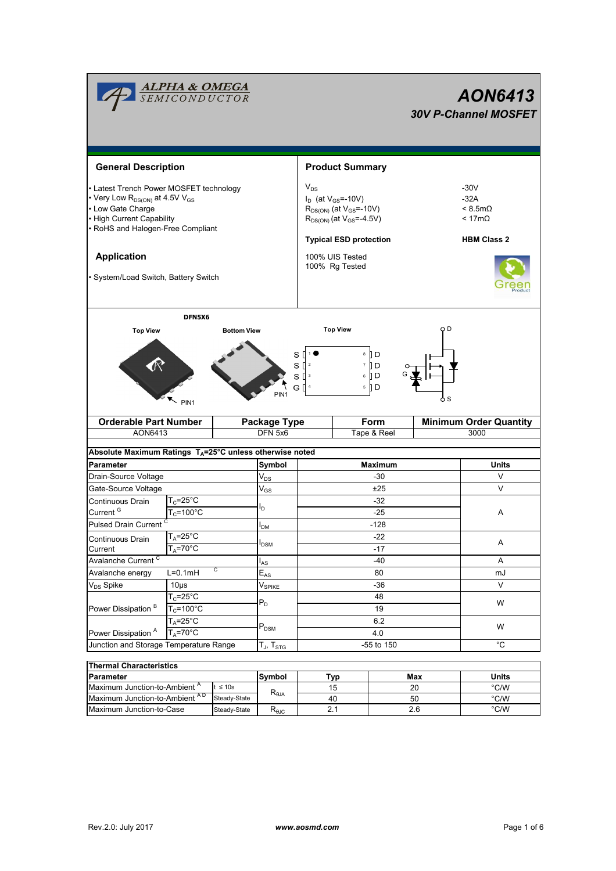|                                                                                                                                                                                                                                                        | <mark>ALPHA &amp; OMEGA</mark><br>SEMICONDUCTOR |                                                                                                                                                                                        |                            |                                                              |                        |                                                                           |             | AON6413<br><b>30V P-Channel MOSFET</b> |  |  |
|--------------------------------------------------------------------------------------------------------------------------------------------------------------------------------------------------------------------------------------------------------|-------------------------------------------------|----------------------------------------------------------------------------------------------------------------------------------------------------------------------------------------|----------------------------|--------------------------------------------------------------|------------------------|---------------------------------------------------------------------------|-------------|----------------------------------------|--|--|
| <b>General Description</b>                                                                                                                                                                                                                             |                                                 |                                                                                                                                                                                        |                            |                                                              | <b>Product Summary</b> |                                                                           |             |                                        |  |  |
| • Latest Trench Power MOSFET technology<br>• Very Low R <sub>DS(ON)</sub> at 4.5V V <sub>GS</sub><br>• Low Gate Charge<br>• High Current Capability<br>• RoHS and Halogen-Free Compliant<br><b>Application</b><br>• System/Load Switch, Battery Switch |                                                 | $V_{DS}$<br>$I_D$ (at $V_{GS} = -10V$ )<br>$R_{DS(ON)}$ (at $V_{GS}$ =-10V)<br>$R_{DS(ON)}$ (at $V_{GS}$ =-4.5V)<br><b>Typical ESD protection</b><br>100% UIS Tested<br>100% Rg Tested |                            |                                                              |                        | $-30V$<br>$-32A$<br>$< 8.5m\Omega$<br>$< 17m\Omega$<br><b>HBM Class 2</b> |             |                                        |  |  |
|                                                                                                                                                                                                                                                        |                                                 |                                                                                                                                                                                        |                            |                                                              |                        |                                                                           |             |                                        |  |  |
| <b>Top View</b>                                                                                                                                                                                                                                        | DFN5X6                                          | <b>Bottom View</b>                                                                                                                                                                     |                            | <b>Top View</b>                                              |                        |                                                                           | O D         |                                        |  |  |
|                                                                                                                                                                                                                                                        | $\sim$ PIN1                                     |                                                                                                                                                                                        | s<br>PIN <sub>1</sub>      | s₫<br>$\overline{2}$<br>S ∐ ª<br>G $\mathsf{I}$ <sup>4</sup> |                        | 8 ∏ D<br>7 I D<br>6 ∏ D<br>5    D                                         | o s         |                                        |  |  |
| <b>Orderable Part Number</b>                                                                                                                                                                                                                           |                                                 |                                                                                                                                                                                        | Package Type               | Form                                                         |                        | <b>Minimum Order Quantity</b>                                             |             |                                        |  |  |
| AON6413                                                                                                                                                                                                                                                |                                                 |                                                                                                                                                                                        | DFN 5x6                    |                                                              | Tape & Reel            |                                                                           | 3000        |                                        |  |  |
| Absolute Maximum Ratings T <sub>A</sub> =25°C unless otherwise noted                                                                                                                                                                                   |                                                 |                                                                                                                                                                                        |                            |                                                              |                        |                                                                           |             |                                        |  |  |
| <b>Parameter</b>                                                                                                                                                                                                                                       |                                                 |                                                                                                                                                                                        | Symbol                     |                                                              |                        | <b>Maximum</b>                                                            |             | <b>Units</b>                           |  |  |
| Drain-Source Voltage                                                                                                                                                                                                                                   |                                                 |                                                                                                                                                                                        | $\mathsf{V}_{\mathsf{DS}}$ | -30                                                          |                        |                                                                           |             | V                                      |  |  |
| Gate-Source Voltage                                                                                                                                                                                                                                    |                                                 |                                                                                                                                                                                        | $\rm V_{GS}$               | ±25                                                          |                        |                                                                           |             | V                                      |  |  |
| Continuous Drain                                                                                                                                                                                                                                       | $T_c = 25$ °C                                   |                                                                                                                                                                                        |                            | -32                                                          |                        |                                                                           |             | Α                                      |  |  |
| Current <sup>G</sup>                                                                                                                                                                                                                                   | $T_c = 100^{\circ}$ C                           |                                                                                                                                                                                        | ı,                         | $-25$                                                        |                        |                                                                           |             |                                        |  |  |
| Pulsed Drain Current <sup>C</sup>                                                                                                                                                                                                                      |                                                 |                                                                                                                                                                                        | I <sub>DM</sub>            |                                                              |                        |                                                                           |             |                                        |  |  |
| Continuous Drain<br>Current                                                                                                                                                                                                                            | $T_A = 25^{\circ}C$<br>$T_A = 70$ °C            |                                                                                                                                                                                        | <b>I</b> DSM               | $-22$                                                        |                        |                                                                           | Α           |                                        |  |  |
| Avalanche Current <sup>C</sup>                                                                                                                                                                                                                         |                                                 |                                                                                                                                                                                        | $I_{AS}$                   | $-17$                                                        |                        |                                                                           |             | Α                                      |  |  |
| C<br>$L=0.1mH$<br>Avalanche energy                                                                                                                                                                                                                     |                                                 |                                                                                                                                                                                        | $E_{AS}$                   | $-40$<br>80                                                  |                        |                                                                           |             | mJ                                     |  |  |
| V <sub>DS</sub> Spike                                                                                                                                                                                                                                  | $10µ$ s                                         |                                                                                                                                                                                        | $V_{\mathsf{SPIKE}}$       | $-36$                                                        |                        |                                                                           |             | V                                      |  |  |
|                                                                                                                                                                                                                                                        | $T_c = 25$ °C                                   |                                                                                                                                                                                        |                            | 48                                                           |                        |                                                                           | W<br>W      |                                        |  |  |
| Power Dissipation <sup>B</sup>                                                                                                                                                                                                                         | $T_c = 100^{\circ}$ C                           |                                                                                                                                                                                        | $\mathsf{P}_\mathsf{D}$    | 19                                                           |                        |                                                                           |             |                                        |  |  |
|                                                                                                                                                                                                                                                        | $T_A = 25^\circ C$                              |                                                                                                                                                                                        |                            | 6.2                                                          |                        |                                                                           |             |                                        |  |  |
| $T_A = 70^{\circ}$ C<br>Power Dissipation <sup>A</sup>                                                                                                                                                                                                 |                                                 |                                                                                                                                                                                        | $\mathsf{P}_\mathsf{DSM}$  | 4.0                                                          |                        |                                                                           |             |                                        |  |  |
| Junction and Storage Temperature Range                                                                                                                                                                                                                 |                                                 |                                                                                                                                                                                        | $T_{J}$ , $T_{STG}$        | -55 to 150                                                   |                        |                                                                           | $^{\circ}C$ |                                        |  |  |
| <b>Thermal Characteristics</b>                                                                                                                                                                                                                         |                                                 |                                                                                                                                                                                        |                            |                                                              |                        |                                                                           |             |                                        |  |  |
| Parameter                                                                                                                                                                                                                                              |                                                 |                                                                                                                                                                                        | Symbol                     | <b>Typ</b>                                                   |                        |                                                                           | Max         | <b>Units</b>                           |  |  |
| Maximum Junction-to-Ambient A<br>$\leq 10s$                                                                                                                                                                                                            |                                                 |                                                                                                                                                                                        |                            | 15                                                           |                        |                                                                           | 20          | $^{\circ}$ C/W                         |  |  |
| Maximum Junction-to-Ambient AD<br>Steady-State                                                                                                                                                                                                         |                                                 |                                                                                                                                                                                        | $R_{\theta$ JA             |                                                              | 40                     |                                                                           | 50          | $^{\circ}$ C/W                         |  |  |

Maximum Junction-to-Case |Steady-State | R<sub>eJC</sub> | 2.1 | 2.6 | °C/W

2.1

2.6

Steady-State R<sub>θJC</sub>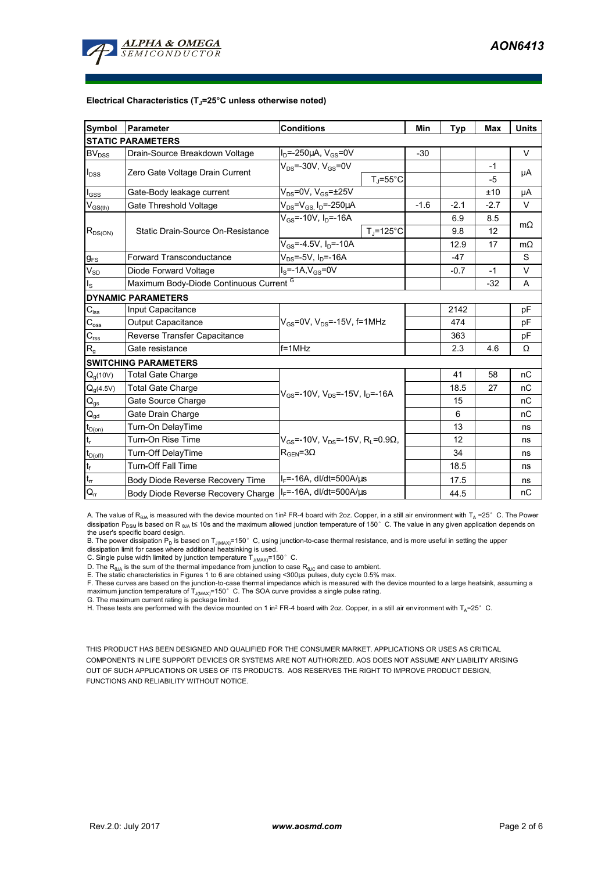

#### **Electrical Characteristics (TJ=25°C unless otherwise noted)**

| <b>Symbol</b>                          | Parameter                               | <b>Conditions</b>                                              | Min    | <b>Typ</b> | Max    | <b>Units</b> |  |  |  |  |  |  |  |
|----------------------------------------|-----------------------------------------|----------------------------------------------------------------|--------|------------|--------|--------------|--|--|--|--|--|--|--|
| <b>STATIC PARAMETERS</b>               |                                         |                                                                |        |            |        |              |  |  |  |  |  |  |  |
| BV <sub>DSS</sub>                      | Drain-Source Breakdown Voltage          | $I_D = -250 \mu A$ , $V_{GS} = 0V$                             | $-30$  |            |        | V            |  |  |  |  |  |  |  |
|                                        | Zero Gate Voltage Drain Current         | $V_{DS}$ =-30V, $V_{GS}$ =0V                                   |        |            | $-1$   | μA           |  |  |  |  |  |  |  |
| $I_{DSS}$                              |                                         | $T_J = 55^{\circ}C$                                            |        |            | -5     |              |  |  |  |  |  |  |  |
| $I_{GSS}$                              | Gate-Body leakage current               | $V_{DS}$ =0V, $V_{GS}$ = $\pm$ 25V                             |        |            | ±10    | μA           |  |  |  |  |  |  |  |
| $V_{GS(th)}$                           | Gate Threshold Voltage                  | $V_{DS} = V_{GS} I_D = -250 \mu A$                             | $-1.6$ | $-2.1$     | $-2.7$ | V            |  |  |  |  |  |  |  |
|                                        |                                         | $V_{\text{GS}} = -10V$ , $I_{\text{D}} = -16A$                 |        | 6.9        | 8.5    | $m\Omega$    |  |  |  |  |  |  |  |
| $R_{DS(ON)}$                           | Static Drain-Source On-Resistance       | $T_{\rm J}$ =125°C                                             |        | 9.8        | 12     |              |  |  |  |  |  |  |  |
|                                        |                                         | $V_{GS}$ =-4.5V, I <sub>D</sub> =-10A                          |        | 12.9       | 17     | $m\Omega$    |  |  |  |  |  |  |  |
| <b>g</b> <sub>FS</sub>                 | <b>Forward Transconductance</b>         | $V_{DS} = -5V$ , $I_D = -16A$                                  |        | $-47$      |        | S            |  |  |  |  |  |  |  |
| $V_{SD}$                               | Diode Forward Voltage                   | $I_S = -1A, V_{GS} = 0V$                                       |        | $-0.7$     | $-1$   | V            |  |  |  |  |  |  |  |
| $I_{\rm S}$                            | Maximum Body-Diode Continuous Current G |                                                                |        | $-32$      | A      |              |  |  |  |  |  |  |  |
|                                        | <b>DYNAMIC PARAMETERS</b>               |                                                                |        |            |        |              |  |  |  |  |  |  |  |
| $C_{\mathsf{iss}}$                     | Input Capacitance                       |                                                                |        | 2142       |        | pF           |  |  |  |  |  |  |  |
| $\mathrm{C_{oss}}$                     | Output Capacitance                      | $V_{GS}$ =0V, $V_{DS}$ =-15V, f=1MHz                           |        | 474        |        | pF           |  |  |  |  |  |  |  |
| $\mathbf{C}_{\text{rss}}$              | Reverse Transfer Capacitance            |                                                                | 363    |            | pF     |              |  |  |  |  |  |  |  |
| $R_{g}$                                | Gate resistance                         | $f = 1$ MHz                                                    |        | 2.3        | 4.6    | Ω            |  |  |  |  |  |  |  |
|                                        | <b>SWITCHING PARAMETERS</b>             |                                                                |        |            |        |              |  |  |  |  |  |  |  |
| $Q_q(10V)$                             | <b>Total Gate Charge</b>                |                                                                |        | 41         | 58     | nC           |  |  |  |  |  |  |  |
| $Q_g(4.5V)$                            | <b>Total Gate Charge</b>                | $V_{GS}$ =-10V, $V_{DS}$ =-15V, $I_{D}$ =-16A                  |        | 18.5       | 27     | nC           |  |  |  |  |  |  |  |
| $Q_{gs}$                               | Gate Source Charge                      |                                                                |        | 15         |        | nC           |  |  |  |  |  |  |  |
| $\mathsf{Q}_{\underline{\mathsf{gd}}}$ | Gate Drain Charge                       |                                                                |        | 6          |        | nC           |  |  |  |  |  |  |  |
| $t_{D(0n)}$                            | Turn-On DelayTime                       |                                                                |        | 13         |        | ns           |  |  |  |  |  |  |  |
| $t_r$                                  | Turn-On Rise Time                       | $V_{GS}$ =-10V, $V_{DS}$ =-15V, R <sub>1</sub> =0.9 $\Omega$ , |        | 12         |        | ns           |  |  |  |  |  |  |  |
| $t_{D(off)}$                           | Turn-Off DelayTime                      | $R_{\text{GEN}} = 3\Omega$                                     |        | 34         |        | ns           |  |  |  |  |  |  |  |
| $\mathbf{t}_\text{f}$                  | <b>Turn-Off Fall Time</b>               |                                                                |        | 18.5       |        | ns           |  |  |  |  |  |  |  |
| $t_{\rm rr}$                           | Body Diode Reverse Recovery Time        | $I_F$ =-16A, dl/dt=500A/ $\mu$ s                               |        | 17.5       |        | ns           |  |  |  |  |  |  |  |
| $\mathsf{Q}_{\mathsf{r}\mathsf{r}}$    | Body Diode Reverse Recovery Charge      | I <sub>F</sub> =-16A, dl/dt=500A/μs                            |        | 44.5       |        | nC           |  |  |  |  |  |  |  |

A. The value of  $R_{\theta JA}$  is measured with the device mounted on 1in<sup>2</sup> FR-4 board with 2oz. Copper, in a still air environment with T<sub>A</sub> =25°C. The Power dissipation P<sub>DSM</sub> is based on R <sub>θJA</sub> t≤ 10s and the maximum allowed junction temperature of 150°C. The value in any given application depends on

the user's specific board design.<br>B. The power dissipation P<sub>D</sub> is based on T<sub>J(MAX)</sub>=150° C, using junction-to-case thermal resistance, and is more useful in setting the upper<br>dissipation limit for cases where additional

D. The  $R_{\theta J\Delta}$  is the sum of the thermal impedance from junction to case  $R_{\theta JC}$  and case to ambient.

E. The static characteristics in Figures 1 to 6 are obtained using <300us pulses, duty cycle 0.5% max.

F. These curves are based on the junction-to-case thermal impedance which is measured with the device mounted to a large heatsink, assuming a maximum junction temperature of  $T_{J(MAX)}$ =150°C. The SOA curve provides a single pulse rating.

G. The maximum current rating is package limited.

H. These tests are performed with the device mounted on 1 in<sup>2</sup> FR-4 board with 2oz. Copper, in a still air environment with T<sub>A</sub>=25°C.

THIS PRODUCT HAS BEEN DESIGNED AND QUALIFIED FOR THE CONSUMER MARKET. APPLICATIONS OR USES AS CRITICAL COMPONENTS IN LIFE SUPPORT DEVICES OR SYSTEMS ARE NOT AUTHORIZED. AOS DOES NOT ASSUME ANY LIABILITY ARISING OUT OF SUCH APPLICATIONS OR USES OF ITS PRODUCTS. AOS RESERVES THE RIGHT TO IMPROVE PRODUCT DESIGN, FUNCTIONS AND RELIABILITY WITHOUT NOTICE.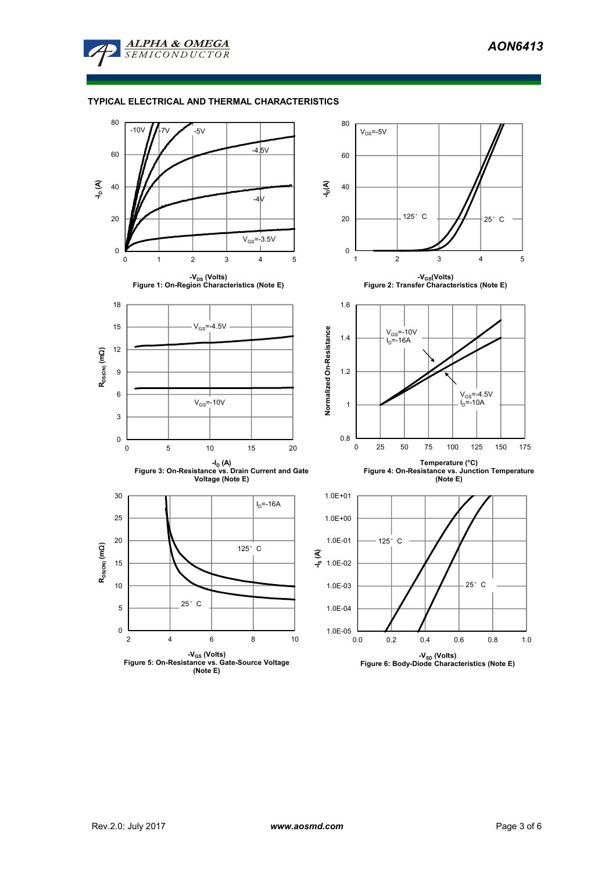

### **TYPICAL ELECTRICAL AND THERMAL CHARACTERISTICS**

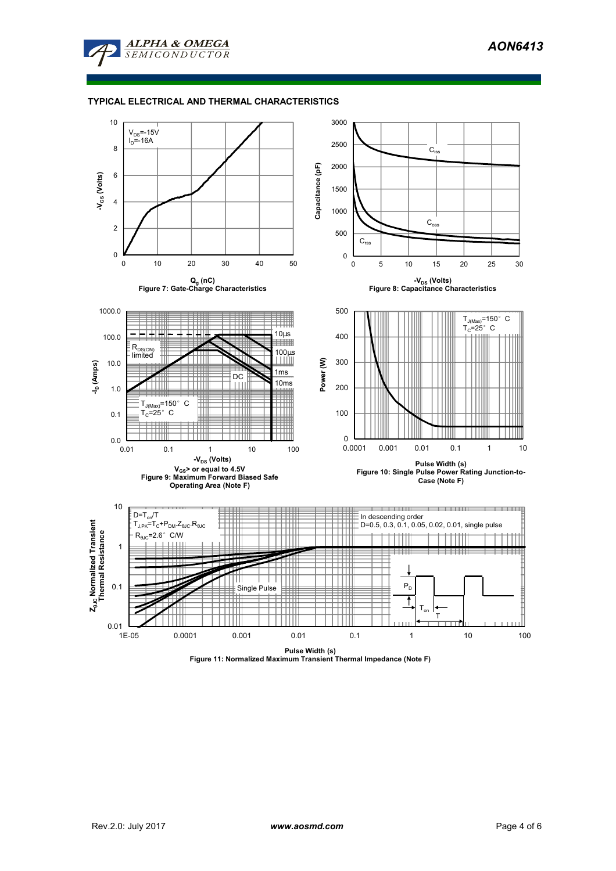

### **TYPICAL ELECTRICAL AND THERMAL CHARACTERISTICS**



**Pulse Width (s) Figure 11: Normalized Maximum Transient Thermal Impedance (Note F)**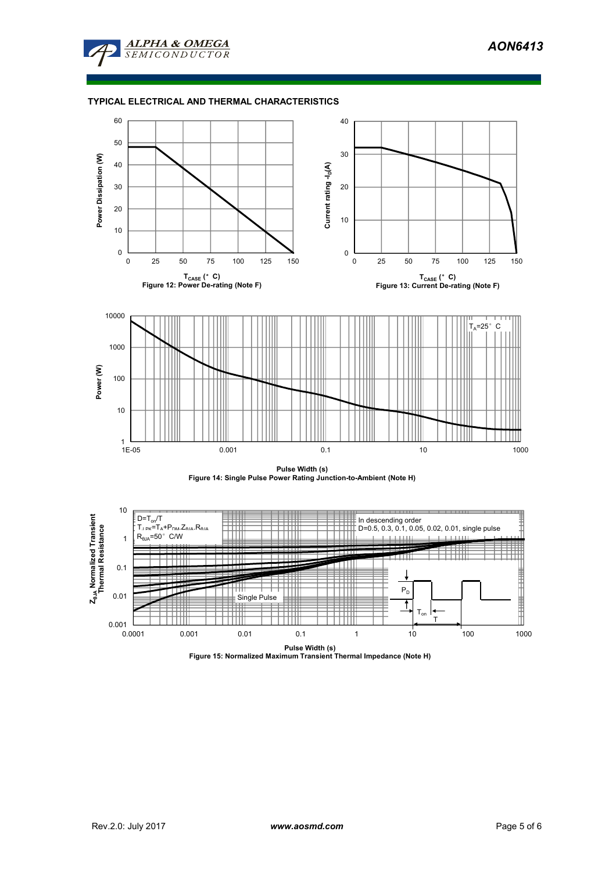

### **TYPICAL ELECTRICAL AND THERMAL CHARACTERISTICS**